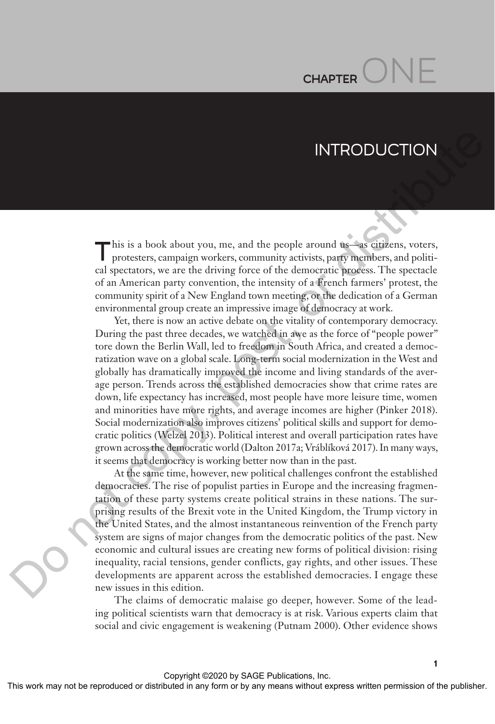## INTRODUCTION

**1**

This is a book about you, me, and the people around us—as citizens, voters, protesters, campaign workers, community activists, party members, and political spectators, we are the driving force of the democratic process. The spectacle of an American party convention, the intensity of a French farmers' protest, the community spirit of a New England town meeting, or the dedication of a German environmental group create an impressive image of democracy at work.

Yet, there is now an active debate on the vitality of contemporary democracy. During the past three decades, we watched in awe as the force of "people power" tore down the Berlin Wall, led to freedom in South Africa, and created a democratization wave on a global scale. Long-term social modernization in the West and globally has dramatically improved the income and living standards of the average person. Trends across the established democracies show that crime rates are down, life expectancy has increased, most people have more leisure time, women and minorities have more rights, and average incomes are higher (Pinker 2018). Social modernization also improves citizens' political skills and support for democratic politics (Welzel 2013). Political interest and overall participation rates have grown across the democratic world (Dalton 2017a; Vráblíková 2017). In many ways, it seems that democracy is working better now than in the past. **This is book shouty volume, and the poster around the express work may not be represented in a Anaxima permission of the distributed in a stributed in a stributed in any means were repressed in a Anaxima permission of th** 

At the same time, however, new political challenges confront the established democracies. The rise of populist parties in Europe and the increasing fragmentation of these party systems create political strains in these nations. The surprising results of the Brexit vote in the United Kingdom, the Trump victory in the United States, and the almost instantaneous reinvention of the French party system are signs of major changes from the democratic politics of the past. New economic and cultural issues are creating new forms of political division: rising inequality, racial tensions, gender conflicts, gay rights, and other issues. These developments are apparent across the established democracies. I engage these new issues in this edition.

The claims of democratic malaise go deeper, however. Some of the leading political scientists warn that democracy is at risk. Various experts claim that social and civic engagement is weakening (Putnam 2000). Other evidence shows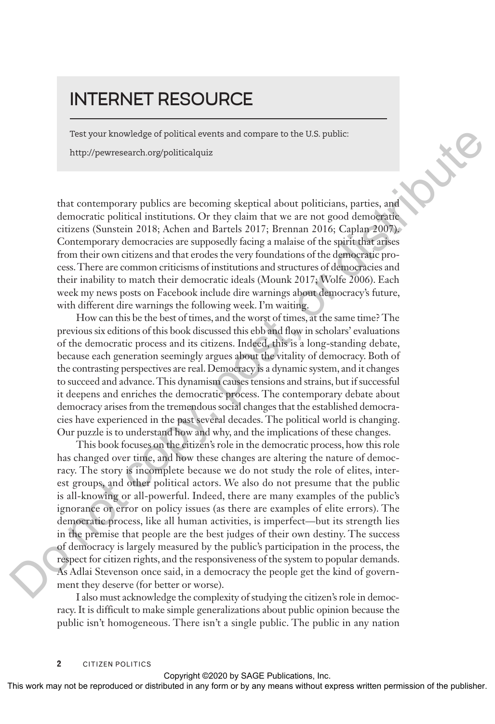# INTERNET RESOURCE

Test your knowledge of political events and compare to the U.S. public:

http://pewresearch.org/politicalquiz

that contemporary publics are becoming skeptical about politicians, parties, and democratic political institutions. Or they claim that we are not good democratic citizens (Sunstein 2018; Achen and Bartels 2017; Brennan 2016; Caplan 2007). Contemporary democracies are supposedly facing a malaise of the spirit that arises from their own citizens and that erodes the very foundations of the democratic process. There are common criticisms of institutions and structures of democracies and their inability to match their democratic ideals (Mounk 2017; Wolfe 2006). Each week my news posts on Facebook include dire warnings about democracy's future, with different dire warnings the following week. I'm waiting.

How can this be the best of times, and the worst of times, at the same time? The previous six editions of this book discussed this ebb and flow in scholars' evaluations of the democratic process and its citizens. Indeed, this is a long-standing debate, because each generation seemingly argues about the vitality of democracy. Both of the contrasting perspectives are real. Democracy is a dynamic system, and it changes to succeed and advance. This dynamism causes tensions and strains, but if successful it deepens and enriches the democratic process. The contemporary debate about democracy arises from the tremendous social changes that the established democracies have experienced in the past several decades. The political world is changing. Our puzzle is to understand how and why, and the implications of these changes.

This book focuses on the citizen's role in the democratic process, how this role has changed over time, and how these changes are altering the nature of democracy. The story is incomplete because we do not study the role of elites, interest groups, and other political actors. We also do not presume that the public is all-knowing or all-powerful. Indeed, there are many examples of the public's ignorance or error on policy issues (as there are examples of elite errors). The democratic process, like all human activities, is imperfect—but its strength lies in the premise that people are the best judges of their own destiny. The success of democracy is largely measured by the public's participation in the process, the respect for citizen rights, and the responsiveness of the system to popular demands. As Adlai Stevenson once said, in a democracy the people get the kind of government they deserve (for better or worse). The contemporation of the reproduced or distributed in any form or by any means which contemporate the contemporation of the permission or by any means and distributed in any means and the respective of the publisher. The

I also must acknowledge the complexity of studying the citizen's role in democracy. It is difficult to make simple generalizations about public opinion because the public isn't homogeneous. There isn't a single public. The public in any nation

**2** CITIZEN POLITICS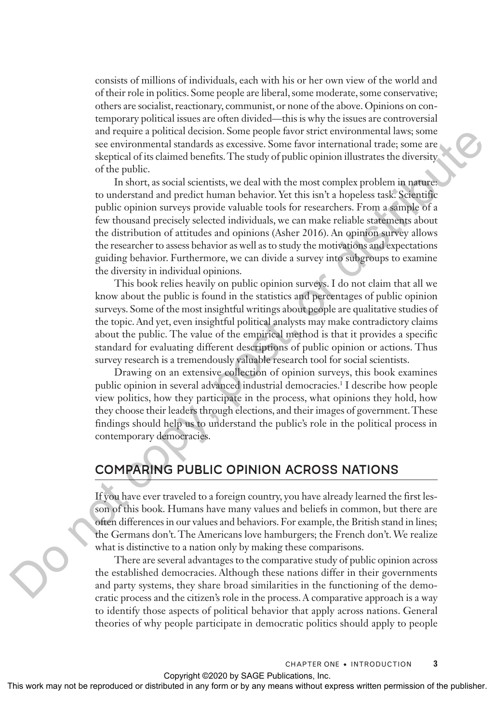consists of millions of individuals, each with his or her own view of the world and of their role in politics. Some people are liberal, some moderate, some conservative; others are socialist, reactionary, communist, or none of the above. Opinions on contemporary political issues are often divided—this is why the issues are controversial and require a political decision. Some people favor strict environmental laws; some see environmental standards as excessive. Some favor international trade; some are skeptical of its claimed benefits. The study of public opinion illustrates the diversity of the public.

In short, as social scientists, we deal with the most complex problem in nature: to understand and predict human behavior. Yet this isn't a hopeless task. Scientific public opinion surveys provide valuable tools for researchers. From a sample of a few thousand precisely selected individuals, we can make reliable statements about the distribution of attitudes and opinions (Asher 2016). An opinion survey allows the researcher to assess behavior as well as to study the motivations and expectations guiding behavior. Furthermore, we can divide a survey into subgroups to examine the diversity in individual opinions. may not be reproduced or distributed in the reproduced or distributed in any form or by any means when  $\alpha$  that is the reproduced or distributed in any form or by any means with the reproduced or distributed in any means

This book relies heavily on public opinion surveys. I do not claim that all we know about the public is found in the statistics and percentages of public opinion surveys. Some of the most insightful writings about people are qualitative studies of the topic. And yet, even insightful political analysts may make contradictory claims about the public. The value of the empirical method is that it provides a specific standard for evaluating different descriptions of public opinion or actions. Thus survey research is a tremendously valuable research tool for social scientists.

Drawing on an extensive collection of opinion surveys, this book examines public opinion in several advanced industrial democracies.1 I describe how people view politics, how they participate in the process, what opinions they hold, how they choose their leaders through elections, and their images of government. These findings should help us to understand the public's role in the political process in contemporary democracies.

### **COMPARING PUBLIC OPINION ACROSS NATIONS**

If you have ever traveled to a foreign country, you have already learned the first lesson of this book. Humans have many values and beliefs in common, but there are often differences in our values and behaviors. For example, the British stand in lines; the Germans don't. The Americans love hamburgers; the French don't. We realize what is distinctive to a nation only by making these comparisons.

There are several advantages to the comparative study of public opinion across the established democracies. Although these nations differ in their governments and party systems, they share broad similarities in the functioning of the democratic process and the citizen's role in the process. A comparative approach is a way to identify those aspects of political behavior that apply across nations. General theories of why people participate in democratic politics should apply to people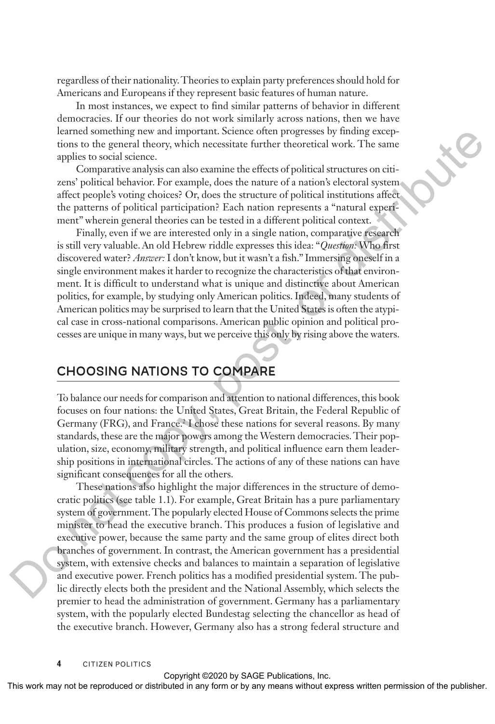regardless of their nationality. Theories to explain party preferences should hold for Americans and Europeans if they represent basic features of human nature.

In most instances, we expect to find similar patterns of behavior in different democracies. If our theories do not work similarly across nations, then we have learned something new and important. Science often progresses by finding exceptions to the general theory, which necessitate further theoretical work. The same applies to social science.

Comparative analysis can also examine the effects of political structures on citizens' political behavior. For example, does the nature of a nation's electoral system affect people's voting choices? Or, does the structure of political institutions affect the patterns of political participation? Each nation represents a "natural experiment" wherein general theories can be tested in a different political context.

Finally, even if we are interested only in a single nation, comparative research is still very valuable. An old Hebrew riddle expresses this idea: "*Question:* Who first discovered water? *Answer:* I don't know, but it wasn't a fish." Immersing oneself in a single environment makes it harder to recognize the characteristics of that environment. It is difficult to understand what is unique and distinctive about American politics, for example, by studying only American politics. Indeed, many students of American politics may be surprised to learn that the United States is often the atypical case in cross-national comparisons. American public opinion and political processes are unique in many ways, but we perceive this only by rising above the waters.

### **CHOOSING NATIONS TO COMPARE**

To balance our needs for comparison and attention to national differences, this book focuses on four nations: the United States, Great Britain, the Federal Republic of Germany (FRG), and France.<sup>2</sup> I chose these nations for several reasons. By many standards, these are the major powers among the Western democracies. Their population, size, economy, military strength, and political influence earn them leadership positions in international circles. The actions of any of these nations can have significant consequences for all the others.

These nations also highlight the major differences in the structure of democratic politics (see table 1.1). For example, Great Britain has a pure parliamentary system of government. The popularly elected House of Commons selects the prime minister to head the executive branch. This produces a fusion of legislative and executive power, because the same party and the same group of elites direct both branches of government. In contrast, the American government has a presidential system, with extensive checks and balances to maintain a separation of legislative and executive power. French politics has a modified presidential system. The public directly elects both the president and the National Assembly, which selects the premier to head the administration of government. Germany has a parliamentary system, with the popularly elected Bundestag selecting the chancellor as head of the executive branch. However, Germany also has a strong federal structure and It is the continued or the continued or the continued or the representation or the representation or the result of the result in any form or the publisher of the computer or the publisher. For express we are any form or b

**4** CITIZEN POLITICS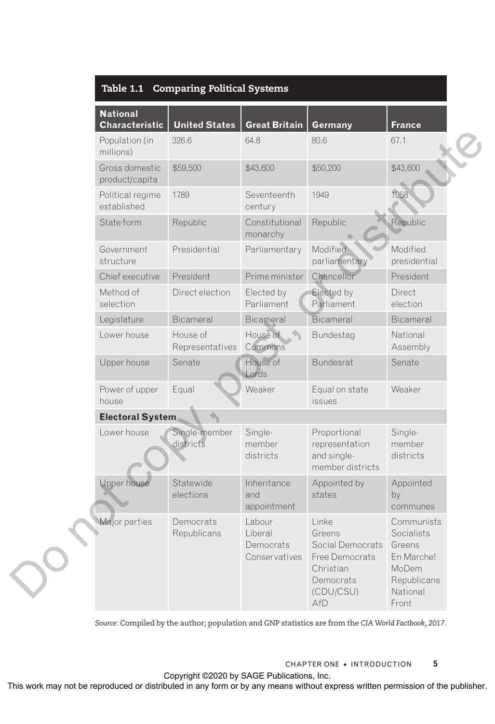| <b>National</b><br><b>Characteristic</b> | <b>United States</b>        | <b>Great Britain</b>                            | Germany                                                                                              | <b>France</b>                                                                                 |
|------------------------------------------|-----------------------------|-------------------------------------------------|------------------------------------------------------------------------------------------------------|-----------------------------------------------------------------------------------------------|
| Population (in<br>millions)              | 326.6                       | 64.8                                            | 80.6                                                                                                 | 67.1                                                                                          |
| Gross domestic<br>product/capita         | \$59,500                    | \$43,600                                        | \$50,200                                                                                             | \$43,600                                                                                      |
| Political regime<br>established          | 1789                        | Seventeenth<br>century                          | 1949                                                                                                 | 1958                                                                                          |
| State form                               | Republic                    | Constitutional<br>monarchy                      | Republic                                                                                             | Republic                                                                                      |
| Government<br>structure                  | Presidential                | Parliamentary                                   | Modified<br>parliamentary                                                                            | Modified<br>presidential                                                                      |
| Chief executive                          | President                   | Prime minister                                  | Chancellor                                                                                           | President                                                                                     |
| Method of<br>selection                   | Direct election             | Elected by<br>Parliament                        | Elected by<br>Parliament                                                                             | Direct<br>election                                                                            |
| Legislature                              | Bicameral                   | Bicameral                                       | <b>Bicameral</b>                                                                                     | Bicameral                                                                                     |
| Lower house                              | House of<br>Representatives | House of<br>Commons                             | Bundestag                                                                                            | National<br>Assembly                                                                          |
| Upper house                              | Senate                      | House of<br>Lords                               | <b>Bundesrat</b>                                                                                     | Senate                                                                                        |
| Power of upper<br>house                  | Equal                       | Weaker                                          | Equal on state<br>issues                                                                             | Weaker                                                                                        |
| <b>Electoral System</b>                  |                             |                                                 |                                                                                                      |                                                                                               |
| Lower house                              | Single-member<br>districts  | Single-<br>member<br>districts                  | Proportional<br>representation<br>and single-<br>member districts                                    | Single-<br>member<br>districts                                                                |
| Upper house                              | Statewide<br>elections      | Inheritance<br>and<br>appointment               | Appointed by<br>states                                                                               | Appointed<br>by<br>communes                                                                   |
| Major parties                            | Democrats<br>Republicans    | Labour<br>Liberal<br>Democrats<br>Conservatives | I inke<br>Greens<br>Social Democrats<br>Free Democrats<br>Christian<br>Democrats<br>(CDU/CSU)<br>AfD | Communists<br>Socialists<br>Greens<br>En Marche!<br>MoDem<br>Republicans<br>National<br>Front |
|                                          |                             |                                                 | Source: Compiled by the author; population and GNP statistics are from the CIA World Factbook, 2017. |                                                                                               |

#### chapter one • Introduction **5**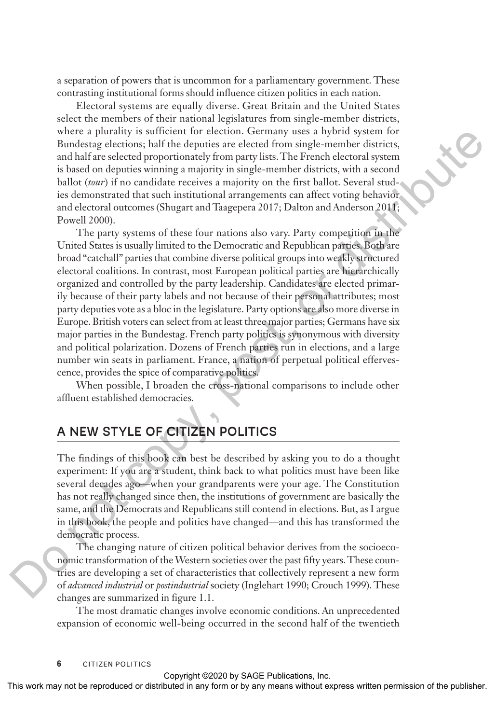a separation of powers that is uncommon for a parliamentary government. These contrasting institutional forms should influence citizen politics in each nation.

Electoral systems are equally diverse. Great Britain and the United States select the members of their national legislatures from single-member districts, where a plurality is sufficient for election. Germany uses a hybrid system for Bundestag elections; half the deputies are elected from single-member districts, and half are selected proportionately from party lists. The French electoral system is based on deputies winning a majority in single-member districts, with a second ballot (*tour*) if no candidate receives a majority on the first ballot. Several studies demonstrated that such institutional arrangements can affect voting behavior and electoral outcomes (Shugart and Taagepera 2017; Dalton and Anderson 2011; Powell 2000).

The party systems of these four nations also vary. Party competition in the United States is usually limited to the Democratic and Republican parties. Both are broad "catchall" parties that combine diverse political groups into weakly structured electoral coalitions. In contrast, most European political parties are hierarchically organized and controlled by the party leadership. Candidates are elected primarily because of their party labels and not because of their personal attributes; most party deputies vote as a bloc in the legislature. Party options are also more diverse in Europe. British voters can select from at least three major parties; Germans have six major parties in the Bundestag. French party politics is synonymous with diversity and political polarization. Dozens of French parties run in elections, and a large number win seats in parliament. France, a nation of perpetual political effervescence, provides the spice of comparative politics. We we reproduce the reproduced or distribution in any filter the results and the results and the results and the results are the results of the form or distributed in any positive permission is also the results are compar

When possible, I broaden the cross-national comparisons to include other affluent established democracies.

## **A NEW STYLE OF CITIZEN POLITICS**

The findings of this book can best be described by asking you to do a thought experiment: If you are a student, think back to what politics must have been like several decades ago—when your grandparents were your age. The Constitution has not really changed since then, the institutions of government are basically the same, and the Democrats and Republicans still contend in elections. But, as I argue in this book, the people and politics have changed—and this has transformed the democratic process.

The changing nature of citizen political behavior derives from the socioeconomic transformation of the Western societies over the past fifty years. These countries are developing a set of characteristics that collectively represent a new form of *advanced industrial* or *postindustrial* society (Inglehart 1990; Crouch 1999). These changes are summarized in figure 1.1.

The most dramatic changes involve economic conditions. An unprecedented expansion of economic well-being occurred in the second half of the twentieth

**6** CITIZEN POLITICS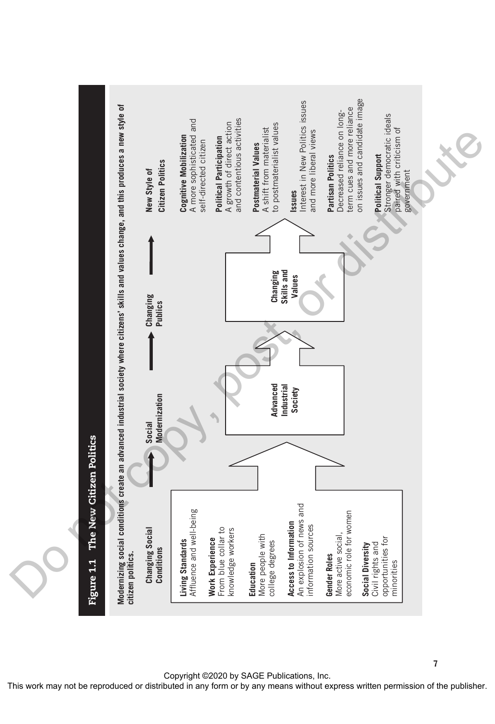

**7**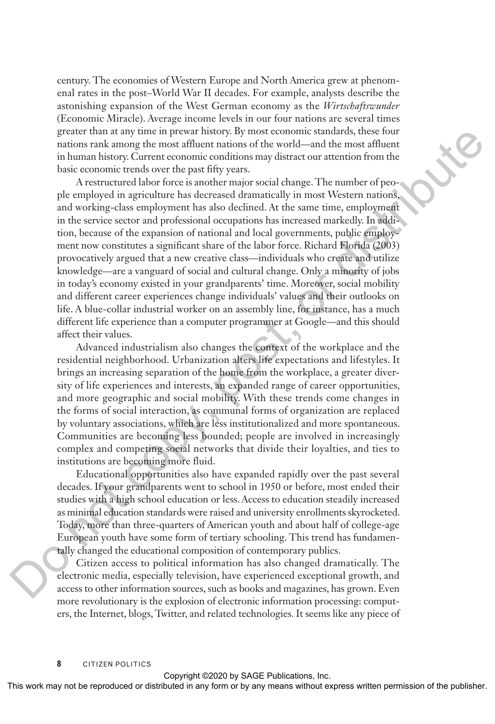century. The economies of Western Europe and North America grew at phenomenal rates in the post–World War II decades. For example, analysts describe the astonishing expansion of the West German economy as the *Wirtschaftswunder* (Economic Miracle). Average income levels in our four nations are several times greater than at any time in prewar history. By most economic standards, these four nations rank among the most affluent nations of the world—and the most affluent in human history. Current economic conditions may distract our attention from the basic economic trends over the past fifty years.

A restructured labor force is another major social change. The number of people employed in agriculture has decreased dramatically in most Western nations, and working-class employment has also declined. At the same time, employment in the service sector and professional occupations has increased markedly. In addition, because of the expansion of national and local governments, public employment now constitutes a significant share of the labor force. Richard Florida (2003) provocatively argued that a new creative class—individuals who create and utilize knowledge—are a vanguard of social and cultural change. Only a minority of jobs in today's economy existed in your grandparents' time. Moreover, social mobility and different career experiences change individuals' values and their outlooks on life. A blue-collar industrial worker on an assembly line, for instance, has a much different life experience than a computer programmer at Google—and this should affect their values. peare then in any two to provide the reproduced or distributed, these form or between boundary. Generation of the total means the reproduced or the second or by any means with deterministic permission of the statistic per

Advanced industrialism also changes the context of the workplace and the residential neighborhood. Urbanization alters life expectations and lifestyles. It brings an increasing separation of the home from the workplace, a greater diversity of life experiences and interests, an expanded range of career opportunities, and more geographic and social mobility. With these trends come changes in the forms of social interaction, as communal forms of organization are replaced by voluntary associations, which are less institutionalized and more spontaneous. Communities are becoming less bounded; people are involved in increasingly complex and competing social networks that divide their loyalties, and ties to institutions are becoming more fluid.

Educational opportunities also have expanded rapidly over the past several decades. If your grandparents went to school in 1950 or before, most ended their studies with a high school education or less. Access to education steadily increased as minimal education standards were raised and university enrollments skyrocketed. Today, more than three-quarters of American youth and about half of college-age European youth have some form of tertiary schooling. This trend has fundamentally changed the educational composition of contemporary publics.

Citizen access to political information has also changed dramatically. The electronic media, especially television, have experienced exceptional growth, and access to other information sources, such as books and magazines, has grown. Even more revolutionary is the explosion of electronic information processing: computers, the Internet, blogs, Twitter, and related technologies. It seems like any piece of

**8** CITIZEN POLITICS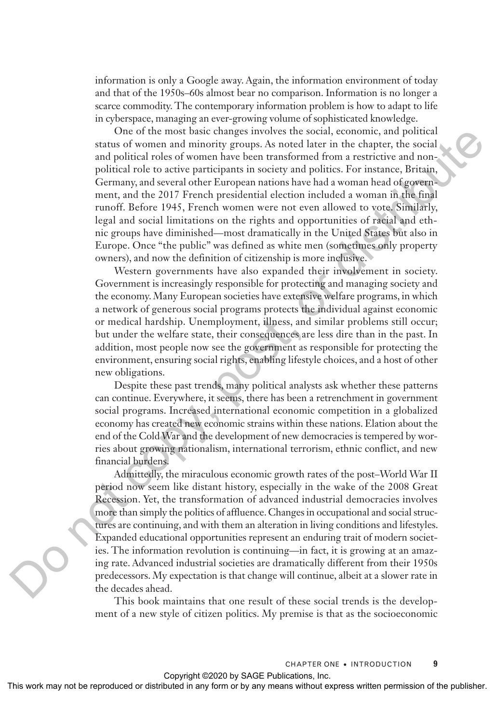information is only a Google away. Again, the information environment of today and that of the 1950s–60s almost bear no comparison. Information is no longer a scarce commodity. The contemporary information problem is how to adapt to life in cyberspace, managing an ever-growing volume of sophisticated knowledge.

One of the most basic changes involves the social, economic, and political status of women and minority groups. As noted later in the chapter, the social and political roles of women have been transformed from a restrictive and nonpolitical role to active participants in society and politics. For instance, Britain, Germany, and several other European nations have had a woman head of government, and the 2017 French presidential election included a woman in the final runoff. Before 1945, French women were not even allowed to vote. Similarly, legal and social limitations on the rights and opportunities of racial and ethnic groups have diminished—most dramatically in the United States but also in Europe. Once "the public" was defined as white men (sometimes only property owners), and now the definition of citizenship is more inclusive. One can be reproduced to the reproduced in any form or the reproduced in the reproduced in the reproduced in any form or by any means when the reproduced in a state of the publisher. This we also the reproduced in a state

Western governments have also expanded their involvement in society. Government is increasingly responsible for protecting and managing society and the economy. Many European societies have extensive welfare programs, in which a network of generous social programs protects the individual against economic or medical hardship. Unemployment, illness, and similar problems still occur; but under the welfare state, their consequences are less dire than in the past. In addition, most people now see the government as responsible for protecting the environment, ensuring social rights, enabling lifestyle choices, and a host of other new obligations.

Despite these past trends, many political analysts ask whether these patterns can continue. Everywhere, it seems, there has been a retrenchment in government social programs. Increased international economic competition in a globalized economy has created new economic strains within these nations. Elation about the end of the Cold War and the development of new democracies is tempered by worries about growing nationalism, international terrorism, ethnic conflict, and new financial burdens.

Admittedly, the miraculous economic growth rates of the post–World War II period now seem like distant history, especially in the wake of the 2008 Great Recession. Yet, the transformation of advanced industrial democracies involves more than simply the politics of affluence. Changes in occupational and social structures are continuing, and with them an alteration in living conditions and lifestyles. Expanded educational opportunities represent an enduring trait of modern societies. The information revolution is continuing—in fact, it is growing at an amazing rate. Advanced industrial societies are dramatically different from their 1950s predecessors. My expectation is that change will continue, albeit at a slower rate in the decades ahead.

This book maintains that one result of these social trends is the development of a new style of citizen politics. My premise is that as the socioeconomic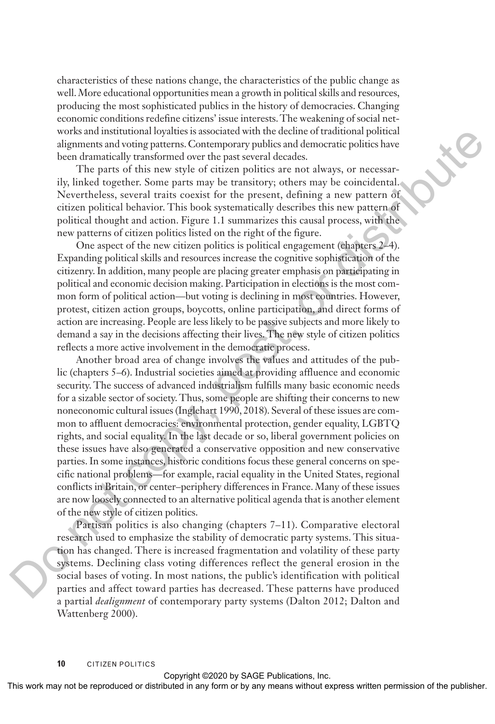characteristics of these nations change, the characteristics of the public change as well. More educational opportunities mean a growth in political skills and resources, producing the most sophisticated publics in the history of democracies. Changing economic conditions redefine citizens' issue interests. The weakening of social networks and institutional loyalties is associated with the decline of traditional political alignments and voting patterns. Contemporary publics and democratic politics have been dramatically transformed over the past several decades.

The parts of this new style of citizen politics are not always, or necessarily, linked together. Some parts may be transitory; others may be coincidental. Nevertheless, several traits coexist for the present, defining a new pattern of citizen political behavior. This book systematically describes this new pattern of political thought and action. Figure 1.1 summarizes this causal process, with the new patterns of citizen politics listed on the right of the figure.

One aspect of the new citizen politics is political engagement (chapters 2–4). Expanding political skills and resources increase the cognitive sophistication of the citizenry. In addition, many people are placing greater emphasis on participating in political and economic decision making. Participation in elections is the most common form of political action—but voting is declining in most countries. However, protest, citizen action groups, boycotts, online participation, and direct forms of action are increasing. People are less likely to be passive subjects and more likely to demand a say in the decisions affecting their lives. The new style of citizen politics reflects a more active involvement in the democratic process.

Another broad area of change involves the values and attitudes of the public (chapters 5–6). Industrial societies aimed at providing affluence and economic security. The success of advanced industrialism fulfills many basic economic needs for a sizable sector of society. Thus, some people are shifting their concerns to new noneconomic cultural issues (Inglehart 1990, 2018). Several of these issues are common to affluent democracies: environmental protection, gender equality, LGBTQ rights, and social equality. In the last decade or so, liberal government policies on these issues have also generated a conservative opposition and new conservative parties. In some instances, historic conditions focus these general concerns on specific national problems—for example, racial equality in the United States, regional conflicts in Britain, or center–periphery differences in France. Many of these issues are now loosely connected to an alternative political agenda that is another element of the new style of citizen politics. work may not be restable second or the representation of the relation of the restable the rest or distributed in the relation of the publisher. This book systematically describes the publisher. This book systematically de

Partisan politics is also changing (chapters 7–11). Comparative electoral research used to emphasize the stability of democratic party systems. This situation has changed. There is increased fragmentation and volatility of these party systems. Declining class voting differences reflect the general erosion in the social bases of voting. In most nations, the public's identification with political parties and affect toward parties has decreased. These patterns have produced a partial *dealignment* of contemporary party systems (Dalton 2012; Dalton and Wattenberg 2000).

#### **10** CITIZEN POLITICS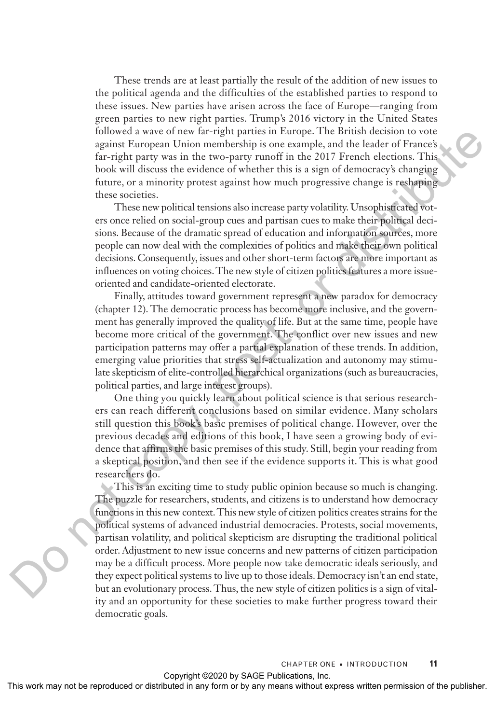These trends are at least partially the result of the addition of new issues to the political agenda and the difficulties of the established parties to respond to these issues. New parties have arisen across the face of Europe—ranging from green parties to new right parties. Trump's 2016 victory in the United States followed a wave of new far-right parties in Europe. The British decision to vote against European Union membership is one example, and the leader of France's far-right party was in the two-party runoff in the 2017 French elections. This book will discuss the evidence of whether this is a sign of democracy's changing future, or a minority protest against how much progressive change is reshaping these societies.

These new political tensions also increase party volatility. Unsophisticated voters once relied on social-group cues and partisan cues to make their political decisions. Because of the dramatic spread of education and information sources, more people can now deal with the complexities of politics and make their own political decisions. Consequently, issues and other short-term factors are more important as influences on voting choices. The new style of citizen politics features a more issueoriented and candidate-oriented electorate.

Finally, attitudes toward government represent a new paradox for democracy (chapter 12). The democratic process has become more inclusive, and the government has generally improved the quality of life. But at the same time, people have become more critical of the government. The conflict over new issues and new participation patterns may offer a partial explanation of these trends. In addition, emerging value priorities that stress self-actualization and autonomy may stimulate skepticism of elite-controlled hierarchical organizations (such as bureaucracies, political parties, and large interest groups).

One thing you quickly learn about political science is that serious researchers can reach different conclusions based on similar evidence. Many scholars still question this book's basic premises of political change. However, over the previous decades and editions of this book, I have seen a growing body of evidence that affirms the basic premises of this study. Still, begin your reading from a skeptical position, and then see if the evidence supports it. This is what good researchers do.

This is an exciting time to study public opinion because so much is changing. The puzzle for researchers, students, and citizens is to understand how democracy functions in this new context. This new style of citizen politics creates strains for the political systems of advanced industrial democracies. Protests, social movements, partisan volatility, and political skepticism are disrupting the traditional political order. Adjustment to new issue concerns and new patterns of citizen participation may be a difficult process. More people now take democratic ideals seriously, and they expect political systems to live up to those ideals. Democracy isn't an end state, but an evolutionary process. Thus, the new style of citizen politics is a sign of vitality and an opportunity for these societies to make further progress toward their democratic goals. This work is the reproduced or the reproduced or the reproduced or the reproduced or the reproduced or the reproduced or the reproduced or the rest or the rest of the rest in a stributed in any form of the publisher. The